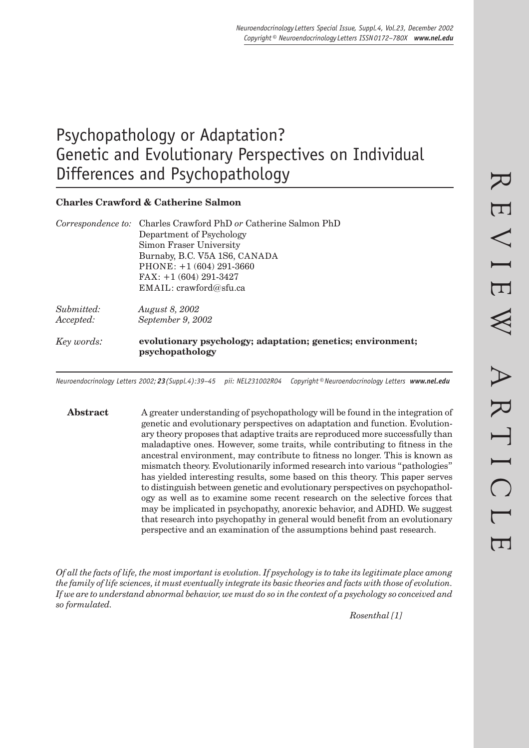# Psychopathology or Adaptation? Genetic and Evolutionary Perspectives on Individual Differences and Psychopathology

# **Charles Crawford & Catherine Salmon**

| Correspondence to: Charles Crawford PhD or Catherine Salmon PhD                |
|--------------------------------------------------------------------------------|
| Department of Psychology                                                       |
| Simon Fraser University                                                        |
| Burnaby, B.C. V5A 1S6, CANADA                                                  |
| PHONE: $+1(604)291-3660$                                                       |
| $FAX: +1(604) 291-3427$                                                        |
| EMAIL: crawford@sfu.ca                                                         |
| <i>August 8, 2002</i>                                                          |
| September 9, 2002                                                              |
| evolutionary psychology; adaptation; genetics; environment;<br>psychopathology |
|                                                                                |

*Neuroendocrinology Letters 2002; 23(Suppl.4):39–45 pii: NEL231002R04 Copyright © Neuroendocrinology Letters www.nel.edu*

**Abstract** A greater understanding of psychopathology will be found in the integration of genetic and evolutionary perspectives on adaptation and function. Evolutionary theory proposes that adaptive traits are reproduced more successfully than maladaptive ones. However, some traits, while contributing to fitness in the ancestral environment, may contribute to fitness no longer. This is known as mismatch theory. Evolutionarily informed research into various "pathologies" has yielded interesting results, some based on this theory. This paper serves to distinguish between genetic and evolutionary perspectives on psychopathology as well as to examine some recent research on the selective forces that may be implicated in psychopathy, anorexic behavior, and ADHD. We suggest that research into psychopathy in general would benefit from an evolutionary perspective and an examination of the assumptions behind past research.

*Of all the facts of life, the most important is evolution. If psychology is to take its legitimate place among the family of life sciences, it must eventually integrate its basic theories and facts with those of evolution. If we are to understand abnormal behavior, we must do so in the context of a psychology so conceived and so formulated.* 

 *Rosenthal [1]*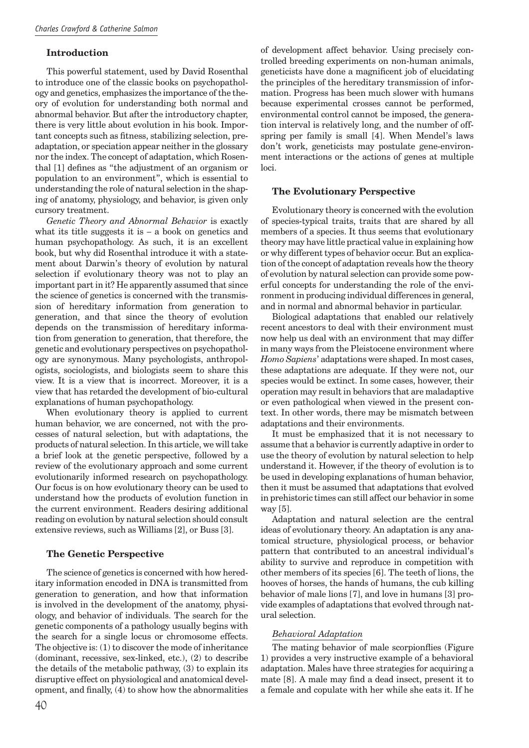# **Introduction**

This powerful statement, used by David Rosenthal to introduce one of the classic books on psychopathology and genetics, emphasizes the importance of the theory of evolution for understanding both normal and abnormal behavior. But after the introductory chapter, there is very little about evolution in his book. Important concepts such as fitness, stabilizing selection, preadaptation, or speciation appear neither in the glossary nor the index. The concept of adaptation, which Rosenthal [1] defines as "the adjustment of an organism or population to an environment", which is essential to understanding the role of natural selection in the shaping of anatomy, physiology, and behavior, is given only cursory treatment.

*Genetic Theory and Abnormal Behavior* is exactly what its title suggests it is  $-$  a book on genetics and human psychopathology. As such, it is an excellent book, but why did Rosenthal introduce it with a statement about Darwin's theory of evolution by natural selection if evolutionary theory was not to play an important part in it? He apparently assumed that since the science of genetics is concerned with the transmission of hereditary information from generation to generation, and that since the theory of evolution depends on the transmission of hereditary information from generation to generation, that therefore, the genetic and evolutionary perspectives on psychopathology are synonymous. Many psychologists, anthropologists, sociologists, and biologists seem to share this view. It is a view that is incorrect. Moreover, it is a view that has retarded the development of bio-cultural explanations of human psychopathology.

When evolutionary theory is applied to current human behavior, we are concerned, not with the processes of natural selection, but with adaptations, the products of natural selection. In this article, we will take a brief look at the genetic perspective, followed by a review of the evolutionary approach and some current evolutionarily informed research on psychopathology. Our focus is on how evolutionary theory can be used to understand how the products of evolution function in the current environment. Readers desiring additional reading on evolution by natural selection should consult extensive reviews, such as Williams [2], or Buss [3].

# **The Genetic Perspective**

The science of genetics is concerned with how hereditary information encoded in DNA is transmitted from generation to generation, and how that information is involved in the development of the anatomy, physiology, and behavior of individuals. The search for the genetic components of a pathology usually begins with the search for a single locus or chromosome effects. The objective is: (1) to discover the mode of inheritance (dominant, recessive, sex-linked, etc.), (2) to describe the details of the metabolic pathway, (3) to explain its disruptive effect on physiological and anatomical development, and finally,  $(4)$  to show how the abnormalities

of development affect behavior. Using precisely controlled breeding experiments on non-human animals, geneticists have done a magnificent job of elucidating the principles of the hereditary transmission of information. Progress has been much slower with humans because experimental crosses cannot be performed, environmental control cannot be imposed, the generation interval is relatively long, and the number of offspring per family is small [4]. When Mendel's laws don't work, geneticists may postulate gene-environment interactions or the actions of genes at multiple loci.

# **The Evolutionary Perspective**

Evolutionary theory is concerned with the evolution of species-typical traits, traits that are shared by all members of a species. It thus seems that evolutionary theory may have little practical value in explaining how or why different types of behavior occur. But an explication of the concept of adaptation reveals how the theory of evolution by natural selection can provide some powerful concepts for understanding the role of the environment in producing individual differences in general, and in normal and abnormal behavior in particular.

Biological adaptations that enabled our relatively recent ancestors to deal with their environment must now help us deal with an environment that may differ in many ways from the Pleistocene environment where *Homo Sapiens*' adaptations were shaped. In most cases, these adaptations are adequate. If they were not, our species would be extinct. In some cases, however, their operation may result in behaviors that are maladaptive or even pathological when viewed in the present context. In other words, there may be mismatch between adaptations and their environments.

It must be emphasized that it is not necessary to assume that a behavior is currently adaptive in order to use the theory of evolution by natural selection to help understand it. However, if the theory of evolution is to be used in developing explanations of human behavior, then it must be assumed that adaptations that evolved in prehistoric times can still affect our behavior in some way [5].

Adaptation and natural selection are the central ideas of evolutionary theory. An adaptation is any anatomical structure, physiological process, or behavior pattern that contributed to an ancestral individual's ability to survive and reproduce in competition with other members of its species [6]. The teeth of lions, the hooves of horses, the hands of humans, the cub killing behavior of male lions [7], and love in humans [3] provide examples of adaptations that evolved through natural selection.

# *Behavioral Adaptation*

The mating behavior of male scorpionflies (Figure 1) provides a very instructive example of a behavioral adaptation. Males have three strategies for acquiring a mate  $[8]$ . A male may find a dead insect, present it to a female and copulate with her while she eats it. If he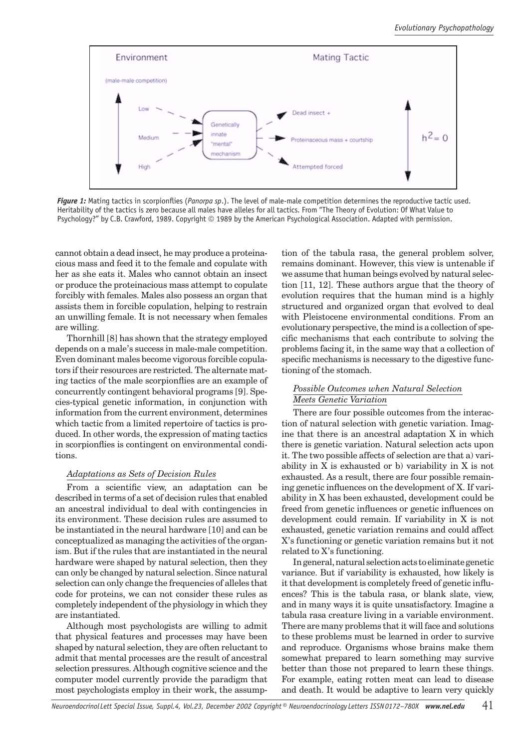

Figure 1: Mating tactics in scorpionflies (Panorpa sp.). The level of male-male competition determines the reproductive tactic used. Heritability of the tactics is zero because all males have alleles for all tactics. From "The Theory of Evolution: Of What Value to Psychology?" by C.B. Crawford, 1989. Copyright © 1989 by the American Psychological Association. Adapted with permission.

cannot obtain a dead insect, he may produce a proteinacious mass and feed it to the female and copulate with her as she eats it. Males who cannot obtain an insect or produce the proteinacious mass attempt to copulate forcibly with females. Males also possess an organ that assists them in forcible copulation, helping to restrain an unwilling female. It is not necessary when females are willing.

Thornhill [8] has shown that the strategy employed depends on a male's success in male-male competition. Even dominant males become vigorous forcible copulators if their resources are restricted. The alternate mating tactics of the male scorpionflies are an example of concurrently contingent behavioral programs [9]. Species-typical genetic information, in conjunction with information from the current environment, determines which tactic from a limited repertoire of tactics is produced. In other words, the expression of mating tactics in scorpionflies is contingent on environmental conditions.

# *Adaptations as Sets of Decision Rules*

From a scientific view, an adaptation can be described in terms of a set of decision rules that enabled an ancestral individual to deal with contingencies in its environment. These decision rules are assumed to be instantiated in the neural hardware [10] and can be conceptualized as managing the activities of the organism. But if the rules that are instantiated in the neural hardware were shaped by natural selection, then they can only be changed by natural selection. Since natural selection can only change the frequencies of alleles that code for proteins, we can not consider these rules as completely independent of the physiology in which they are instantiated.

Although most psychologists are willing to admit that physical features and processes may have been shaped by natural selection, they are often reluctant to admit that mental processes are the result of ancestral selection pressures. Although cognitive science and the computer model currently provide the paradigm that most psychologists employ in their work, the assumption of the tabula rasa, the general problem solver, remains dominant. However, this view is untenable if we assume that human beings evolved by natural selection [11, 12]. These authors argue that the theory of evolution requires that the human mind is a highly structured and organized organ that evolved to deal with Pleistocene environmental conditions. From an evolutionary perspective, the mind is a collection of specific mechanisms that each contribute to solving the problems facing it, in the same way that a collection of specific mechanisms is necessary to the digestive functioning of the stomach.

# *Possible Outcomes when Natural Selection Meets Genetic Variation*

There are four possible outcomes from the interaction of natural selection with genetic variation. Imagine that there is an ancestral adaptation X in which there is genetic variation. Natural selection acts upon it. The two possible affects of selection are that a) variability in X is exhausted or b) variability in X is not exhausted. As a result, there are four possible remaining genetic influences on the development of X. If variability in X has been exhausted, development could be freed from genetic influences or genetic influences on development could remain. If variability in X is not exhausted, genetic variation remains and could affect X's functioning or genetic variation remains but it not related to X's functioning.

In general, natural selection acts to eliminate genetic variance. But if variability is exhausted, how likely is it that development is completely freed of genetic influences? This is the tabula rasa, or blank slate, view, and in many ways it is quite unsatisfactory. Imagine a tabula rasa creature living in a variable environment. There are many problems that it will face and solutions to these problems must be learned in order to survive and reproduce. Organisms whose brains make them somewhat prepared to learn something may survive better than those not prepared to learn these things. For example, eating rotten meat can lead to disease and death. It would be adaptive to learn very quickly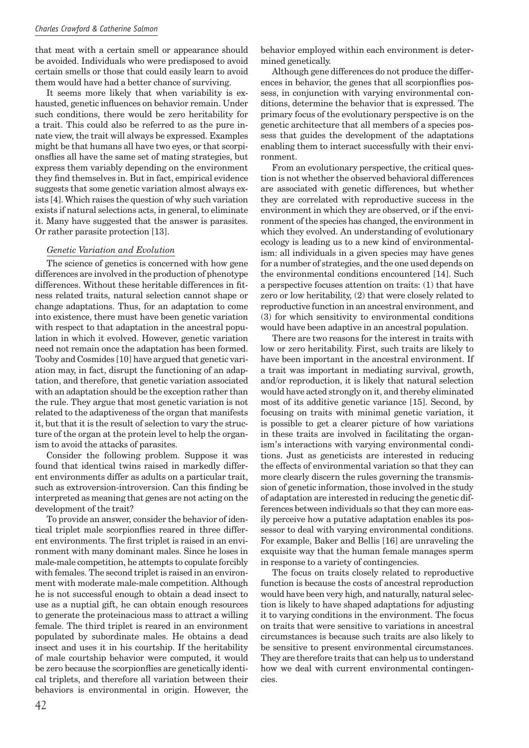#### *Charles Crawford & Catherine Salmon*

that meat with a certain smell or appearance should be avoided. Individuals who were predisposed to avoid certain smells or those that could easily learn to avoid them would have had a better chance of surviving.

It seems more likely that when variability is exhausted, genetic influences on behavior remain. Under such conditions, there would be zero heritability for a trait. This could also be referred to as the pure innate view, the trait will always be expressed. Examples might be that humans all have two eyes, or that scorpionsflies all have the same set of mating strategies, but express them variably depending on the environment they find themselves in. But in fact, empirical evidence suggests that some genetic variation almost always exists [4]. Which raises the question of why such variation exists if natural selections acts, in general, to eliminate it. Many have suggested that the answer is parasites. Or rather parasite protection [13].

#### *Genetic Variation and Evolution*

The science of genetics is concerned with how gene differences are involved in the production of phenotype differences. Without these heritable differences in fitness related traits, natural selection cannot shape or change adaptations. Thus, for an adaptation to come into existence, there must have been genetic variation with respect to that adaptation in the ancestral population in which it evolved. However, genetic variation need not remain once the adaptation has been formed. Tooby and Cosmides [10] have argued that genetic variation may, in fact, disrupt the functioning of an adaptation, and therefore, that genetic variation associated with an adaptation should be the exception rather than the rule. They argue that most genetic variation is not related to the adaptiveness of the organ that manifests it, but that it is the result of selection to vary the structure of the organ at the protein level to help the organism to avoid the attacks of parasites.

Consider the following problem. Suppose it was found that identical twins raised in markedly different environments differ as adults on a particular trait, such as extroversion-introversion. Can this finding be interpreted as meaning that genes are not acting on the development of the trait?

To provide an answer, consider the behavior of identical triplet male scorpionflies reared in three different environments. The first triplet is raised in an environment with many dominant males. Since he loses in male-male competition, he attempts to copulate forcibly with females. The second triplet is raised in an environment with moderate male-male competition. Although he is not successful enough to obtain a dead insect to use as a nuptial gift, he can obtain enough resources to generate the proteinacious mass to attract a willing female. The third triplet is reared in an environment populated by subordinate males. He obtains a dead insect and uses it in his courtship. If the heritability of male courtship behavior were computed, it would be zero because the scorpionflies are genetically identical triplets, and therefore all variation between their behaviors is environmental in origin. However, the behavior employed within each environment is determined genetically.

Although gene differences do not produce the differences in behavior, the genes that all scorpionflies possess, in conjunction with varying environmental conditions, determine the behavior that is expressed. The primary focus of the evolutionary perspective is on the genetic architecture that all members of a species possess that guides the development of the adaptations enabling them to interact successfully with their environment.

From an evolutionary perspective, the critical question is not whether the observed behavioral differences are associated with genetic differences, but whether they are correlated with reproductive success in the environment in which they are observed, or if the environment of the species has changed, the environment in which they evolved. An understanding of evolutionary ecology is leading us to a new kind of environmentalism: all individuals in a given species may have genes for a number of strategies, and the one used depends on the environmental conditions encountered [14]. Such a perspective focuses attention on traits: (1) that have zero or low heritability, (2) that were closely related to reproductive function in an ancestral environment, and (3) for which sensitivity to environmental conditions would have been adaptive in an ancestral population.

There are two reasons for the interest in traits with low or zero heritability. First, such traits are likely to have been important in the ancestral environment. If a trait was important in mediating survival, growth, and/or reproduction, it is likely that natural selection would have acted strongly on it, and thereby eliminated most of its additive genetic variance [15]. Second, by focusing on traits with minimal genetic variation, it is possible to get a clearer picture of how variations in these traits are involved in facilitating the organism's interactions with varying environmental conditions. Just as geneticists are interested in reducing the effects of environmental variation so that they can more clearly discern the rules governing the transmission of genetic information, those involved in the study of adaptation are interested in reducing the genetic differences between individuals so that they can more easily perceive how a putative adaptation enables its possessor to deal with varying environmental conditions. For example, Baker and Bellis [16] are unraveling the exquisite way that the human female manages sperm in response to a variety of contingencies.

The focus on traits closely related to reproductive function is because the costs of ancestral reproduction would have been very high, and naturally, natural selection is likely to have shaped adaptations for adjusting it to varying conditions in the environment. The focus on traits that were sensitive to variations in ancestral circumstances is because such traits are also likely to be sensitive to present environmental circumstances. They are therefore traits that can help us to understand how we deal with current environmental contingencies.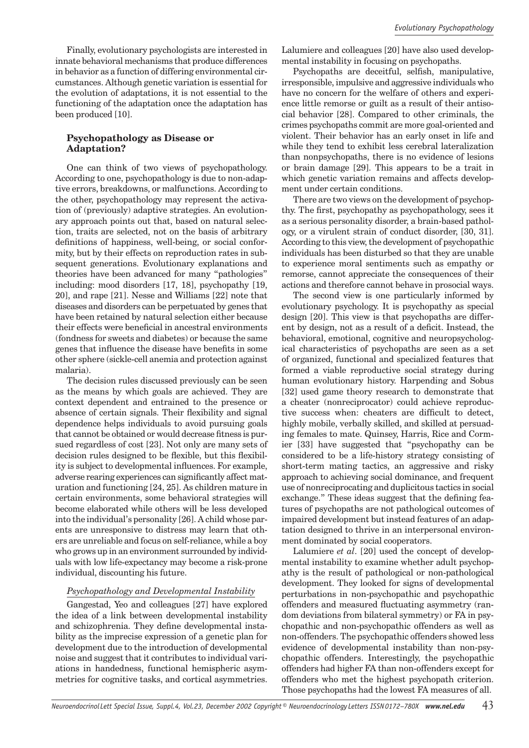Finally, evolutionary psychologists are interested in innate behavioral mechanisms that produce differences in behavior as a function of differing environmental circumstances. Although genetic variation is essential for the evolution of adaptations, it is not essential to the functioning of the adaptation once the adaptation has been produced [10].

# **Psychopathology as Disease or Adaptation?**

One can think of two views of psychopathology. According to one, psychopathology is due to non-adaptive errors, breakdowns, or malfunctions. According to the other, psychopathology may represent the activation of (previously) adaptive strategies. An evolutionary approach points out that, based on natural selection, traits are selected, not on the basis of arbitrary definitions of happiness, well-being, or social conformity, but by their effects on reproduction rates in subsequent generations. Evolutionary explanations and theories have been advanced for many "pathologies" including: mood disorders [17, 18], psychopathy [19, 20], and rape [21]. Nesse and Williams [22] note that diseases and disorders can be perpetuated by genes that have been retained by natural selection either because their effects were beneficial in ancestral environments (fondness for sweets and diabetes) or because the same genes that influence the disease have benefits in some other sphere (sickle-cell anemia and protection against malaria).

The decision rules discussed previously can be seen as the means by which goals are achieved. They are context dependent and entrained to the presence or absence of certain signals. Their flexibility and signal dependence helps individuals to avoid pursuing goals that cannot be obtained or would decrease fitness is pursued regardless of cost [23]. Not only are many sets of decision rules designed to be flexible, but this flexibility is subject to developmental influences. For example, adverse rearing experiences can significantly affect maturation and functioning [24, 25]. As children mature in certain environments, some behavioral strategies will become elaborated while others will be less developed into the individual's personality [26]. A child whose parents are unresponsive to distress may learn that others are unreliable and focus on self-reliance, while a boy who grows up in an environment surrounded by individuals with low life-expectancy may become a risk-prone individual, discounting his future.

# *Psychopathology and Developmental Instability*

Gangestad, Yeo and colleagues [27] have explored the idea of a link between developmental instability and schizophrenia. They define developmental instability as the imprecise expression of a genetic plan for development due to the introduction of developmental noise and suggest that it contributes to individual variations in handedness, functional hemispheric asymmetries for cognitive tasks, and cortical asymmetries. Lalumiere and colleagues [20] have also used developmental instability in focusing on psychopaths.

Psychopaths are deceitful, selfish, manipulative, irresponsible, impulsive and aggressive individuals who have no concern for the welfare of others and experience little remorse or guilt as a result of their antisocial behavior [28]. Compared to other criminals, the crimes psychopaths commit are more goal-oriented and violent. Their behavior has an early onset in life and while they tend to exhibit less cerebral lateralization than nonpsychopaths, there is no evidence of lesions or brain damage [29]. This appears to be a trait in which genetic variation remains and affects development under certain conditions.

There are two views on the development of psychopthy. The first, psychopathy as psychopathology, sees it as a serious personality disorder, a brain-based pathology, or a virulent strain of conduct disorder, [30, 31]. According to this view, the development of psychopathic individuals has been disturbed so that they are unable to experience moral sentiments such as empathy or remorse, cannot appreciate the consequences of their actions and therefore cannot behave in prosocial ways.

The second view is one particularly informed by evolutionary psychology. It is psychopathy as special design [20]. This view is that psychopaths are different by design, not as a result of a deficit. Instead, the behavioral, emotional, cognitive and neuropsychological characteristics of psychopaths are seen as a set of organized, functional and specialized features that formed a viable reproductive social strategy during human evolutionary history. Harpending and Sobus [32] used game theory research to demonstrate that a cheater (nonreciprocator) could achieve reproductive success when: cheaters are difficult to detect, highly mobile, verbally skilled, and skilled at persuading females to mate. Quinsey, Harris, Rice and Cormier [33] have suggested that "psychopathy can be considered to be a life-history strategy consisting of short-term mating tactics, an aggressive and risky approach to achieving social dominance, and frequent use of nonreciprocating and duplicitous tactics in social exchange." These ideas suggest that the defining features of psychopaths are not pathological outcomes of impaired development but instead features of an adaptation designed to thrive in an interpersonal environment dominated by social cooperators.

Lalumiere *et al*. [20] used the concept of developmental instability to examine whether adult psychopathy is the result of pathological or non-pathological development. They looked for signs of developmental perturbations in non-psychopathic and psychopathic offenders and measured fluctuating asymmetry (random deviations from bilateral symmetry) or FA in psychopathic and non-psychopathic offenders as well as non-offenders. The psychopathic offenders showed less evidence of developmental instability than non-psychopathic offenders. Interestingly, the psychopathic offenders had higher FA than non-offenders except for offenders who met the highest psychopath criterion. Those psychopaths had the lowest FA measures of all.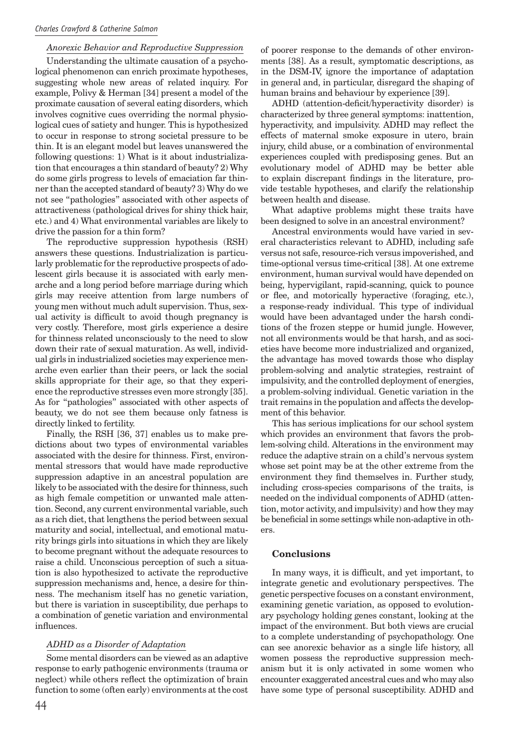# *Anorexic Behavior and Reproductive Suppression*

Understanding the ultimate causation of a psychological phenomenon can enrich proximate hypotheses, suggesting whole new areas of related inquiry. For example, Polivy & Herman [34] present a model of the proximate causation of several eating disorders, which involves cognitive cues overriding the normal physiological cues of satiety and hunger. This is hypothesized to occur in response to strong societal pressure to be thin. It is an elegant model but leaves unanswered the following questions: 1) What is it about industrialization that encourages a thin standard of beauty? 2) Why do some girls progress to levels of emaciation far thinner than the accepted standard of beauty? 3) Why do we not see "pathologies" associated with other aspects of attractiveness (pathological drives for shiny thick hair, etc.) and 4) What environmental variables are likely to drive the passion for a thin form?

The reproductive suppression hypothesis (RSH) answers these questions. Industrialization is particularly problematic for the reproductive prospects of adolescent girls because it is associated with early menarche and a long period before marriage during which girls may receive attention from large numbers of young men without much adult supervision. Thus, sexual activity is difficult to avoid though pregnancy is very costly. Therefore, most girls experience a desire for thinness related unconsciously to the need to slow down their rate of sexual maturation. As well, individual girls in industrialized societies may experience menarche even earlier than their peers, or lack the social skills appropriate for their age, so that they experience the reproductive stresses even more strongly [35]. As for "pathologies" associated with other aspects of beauty, we do not see them because only fatness is directly linked to fertility.

Finally, the RSH [36, 37] enables us to make predictions about two types of environmental variables associated with the desire for thinness. First, environmental stressors that would have made reproductive suppression adaptive in an ancestral population are likely to be associated with the desire for thinness, such as high female competition or unwanted male attention. Second, any current environmental variable, such as a rich diet, that lengthens the period between sexual maturity and social, intellectual, and emotional maturity brings girls into situations in which they are likely to become pregnant without the adequate resources to raise a child. Unconscious perception of such a situation is also hypothesized to activate the reproductive suppression mechanisms and, hence, a desire for thinness. The mechanism itself has no genetic variation, but there is variation in susceptibility, due perhaps to a combination of genetic variation and environmental influences.

#### *ADHD as a Disorder of Adaptation*

Some mental disorders can be viewed as an adaptive response to early pathogenic environments (trauma or neglect) while others reflect the optimization of brain function to some (often early) environments at the cost

of poorer response to the demands of other environments [38]. As a result, symptomatic descriptions, as in the DSM-IV, ignore the importance of adaptation in general and, in particular, disregard the shaping of human brains and behaviour by experience [39].

ADHD (attention-deficit/hyperactivity disorder) is characterized by three general symptoms: inattention, hyperactivity, and impulsivity. ADHD may reflect the effects of maternal smoke exposure in utero, brain injury, child abuse, or a combination of environmental experiences coupled with predisposing genes. But an evolutionary model of ADHD may be better able to explain discrepant findings in the literature, provide testable hypotheses, and clarify the relationship between health and disease.

What adaptive problems might these traits have been designed to solve in an ancestral environment?

Ancestral environments would have varied in several characteristics relevant to ADHD, including safe versus not safe, resource-rich versus impoverished, and time-optional versus time-critical [38]. At one extreme environment, human survival would have depended on being, hypervigilant, rapid-scanning, quick to pounce or flee, and motorically hyperactive (foraging, etc.), a response-ready individual. This type of individual would have been advantaged under the harsh conditions of the frozen steppe or humid jungle. However, not all environments would be that harsh, and as societies have become more industrialized and organized, the advantage has moved towards those who display problem-solving and analytic strategies, restraint of impulsivity, and the controlled deployment of energies, a problem-solving individual. Genetic variation in the trait remains in the population and affects the development of this behavior.

This has serious implications for our school system which provides an environment that favors the problem-solving child. Alterations in the environment may reduce the adaptive strain on a child's nervous system whose set point may be at the other extreme from the environment they find themselves in. Further study, including cross-species comparisons of the traits, is needed on the individual components of ADHD (attention, motor activity, and impulsivity) and how they may be beneficial in some settings while non-adaptive in others.

#### **Conclusions**

In many ways, it is difficult, and yet important, to integrate genetic and evolutionary perspectives. The genetic perspective focuses on a constant environment, examining genetic variation, as opposed to evolutionary psychology holding genes constant, looking at the impact of the environment. But both views are crucial to a complete understanding of psychopathology. One can see anorexic behavior as a single life history, all women possess the reproductive suppression mechanism but it is only activated in some women who encounter exaggerated ancestral cues and who may also have some type of personal susceptibility. ADHD and